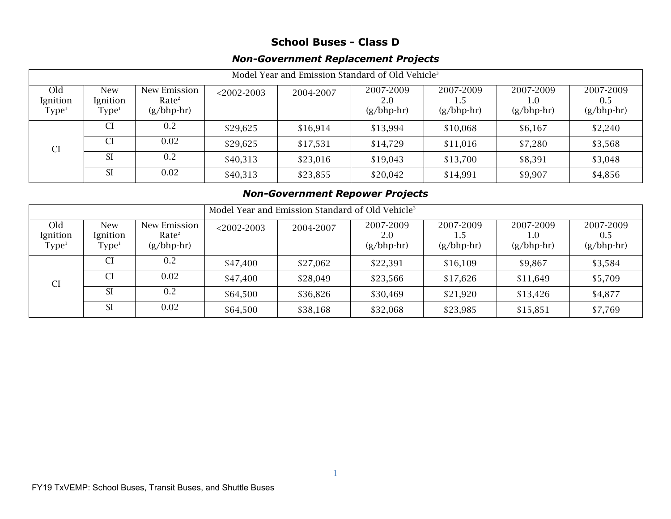## **School Buses - Class D**

## *Non-Government Replacement Projects*

| Model Year and Emission Standard of Old Vehicle <sup>3</sup> |                                          |                                                   |               |           |                                  |                           |                                     |                                  |  |
|--------------------------------------------------------------|------------------------------------------|---------------------------------------------------|---------------|-----------|----------------------------------|---------------------------|-------------------------------------|----------------------------------|--|
| Old<br>Ignition<br>Type <sup>1</sup>                         | <b>New</b><br>Ignition<br>${\rm Type^1}$ | New Emission<br>Rate <sup>2</sup><br>$(g/bhp-hr)$ | $<$ 2002-2003 | 2004-2007 | 2007-2009<br>2.0<br>$(g/bhp-hr)$ | 2007-2009<br>$(g/bhp-hr)$ | 2007-2009<br>$\cup$<br>$(g/bhp-hr)$ | 2007-2009<br>0.5<br>$(g/bhp-hr)$ |  |
| <b>CI</b>                                                    | CI.                                      | 0.2                                               | \$29,625      | \$16,914  | \$13,994                         | \$10,068                  | \$6,167                             | \$2,240                          |  |
|                                                              | CI.                                      | 0.02                                              | \$29,625      | \$17,531  | \$14,729                         | \$11,016                  | \$7,280                             | \$3,568                          |  |
|                                                              | -SI                                      | 0.2                                               | \$40,313      | \$23,016  | \$19,043                         | \$13,700                  | \$8,391                             | \$3,048                          |  |
|                                                              | <b>SI</b>                                | 0.02                                              | \$40,313      | \$23,855  | \$20,042                         | \$14,991                  | \$9,907                             | \$4,856                          |  |

## *Non-Government Repower Projects*

|                                      |                                          |                                                   | Model Year and Emission Standard of Old Vehicle <sup>3</sup> |           |                                  |                           |                                            |                                  |
|--------------------------------------|------------------------------------------|---------------------------------------------------|--------------------------------------------------------------|-----------|----------------------------------|---------------------------|--------------------------------------------|----------------------------------|
| Old<br>Ignition<br>Type <sup>1</sup> | <b>New</b><br>Ignition<br>${\rm Type^1}$ | New Emission<br>Rate <sup>2</sup><br>$(g/bhp-hr)$ | $<$ 2002-2003                                                | 2004-2007 | 2007-2009<br>2.0<br>$(g/bhp-hr)$ | 2007-2009<br>$(g/bhp-hr)$ | 2007-2009<br>$1.0^{\circ}$<br>$(g/bhp-hr)$ | 2007-2009<br>0.5<br>$(g/bhp-hr)$ |
| <b>CI</b>                            | CI.                                      | 0.2                                               | \$47,400                                                     | \$27,062  | \$22,391                         | \$16,109                  | \$9,867                                    | \$3,584                          |
|                                      | CI                                       | 0.02                                              | \$47,400                                                     | \$28,049  | \$23,566                         | \$17,626                  | \$11,649                                   | \$5,709                          |
|                                      | <b>SI</b>                                | 0.2                                               | \$64,500                                                     | \$36,826  | \$30,469                         | \$21,920                  | \$13,426                                   | \$4,877                          |
|                                      | <b>SI</b>                                | 0.02                                              | \$64,500                                                     | \$38,168  | \$32,068                         | \$23,985                  | \$15,851                                   | \$7,769                          |